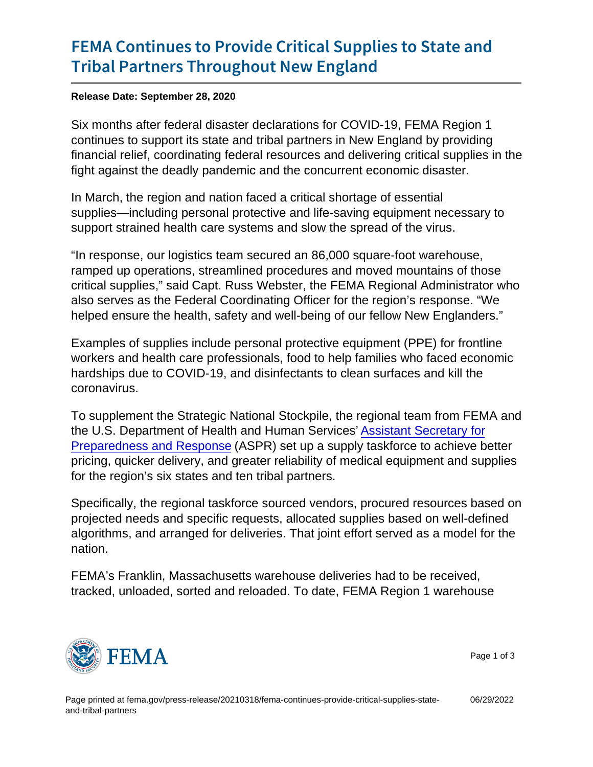## [FEMA Continues to Provide Critica](https://www.fema.gov/press-release/20210318/fema-continues-provide-critical-supplies-state-and-tribal-partners)l Suppl [Tribal Partners Througho](https://www.fema.gov/press-release/20210318/fema-continues-provide-critical-supplies-state-and-tribal-partners)ut New England

Release Date: September 28, 2020

Six months after federal disaster declarations for COVID-19, FEMA Region 1 continues to support its state and tribal partners in New England by providing financial relief, coordinating federal resources and delivering critical supplies in the fight against the deadly pandemic and the concurrent economic disaster.

In March, the region and nation faced a critical shortage of essential supplies—including personal protective and life-saving equipment necessary to support strained health care systems and slow the spread of the virus.

"In response, our logistics team secured an 86,000 square-foot warehouse, ramped up operations, streamlined procedures and moved mountains of those critical supplies," said Capt. Russ Webster, the FEMA Regional Administrator who also serves as the Federal Coordinating Officer for the region's response. "We helped ensure the health, safety and well-being of our fellow New Englanders."

Examples of supplies include personal protective equipment (PPE) for frontline workers and health care professionals, food to help families who faced economic hardships due to COVID-19, and disinfectants to clean surfaces and kill the coronavirus.

To supplement the Strategic National Stockpile, the regional team from FEMA and the U.S. Department of Health and Human Services' [Assistant Secretary for](http://www.phe.gov/) [Preparedness and Response](http://www.phe.gov/) (ASPR) set up a supply taskforce to achieve better pricing, quicker delivery, and greater reliability of medical equipment and supplies for the region's six states and ten tribal partners.

Specifically, the regional taskforce sourced vendors, procured resources based on projected needs and specific requests, allocated supplies based on well-defined algorithms, and arranged for deliveries. That joint effort served as a model for the nation.

FEMA's Franklin, Massachusetts warehouse deliveries had to be received, tracked, unloaded, sorted and reloaded. To date, FEMA Region 1 warehouse



Page 1 of 3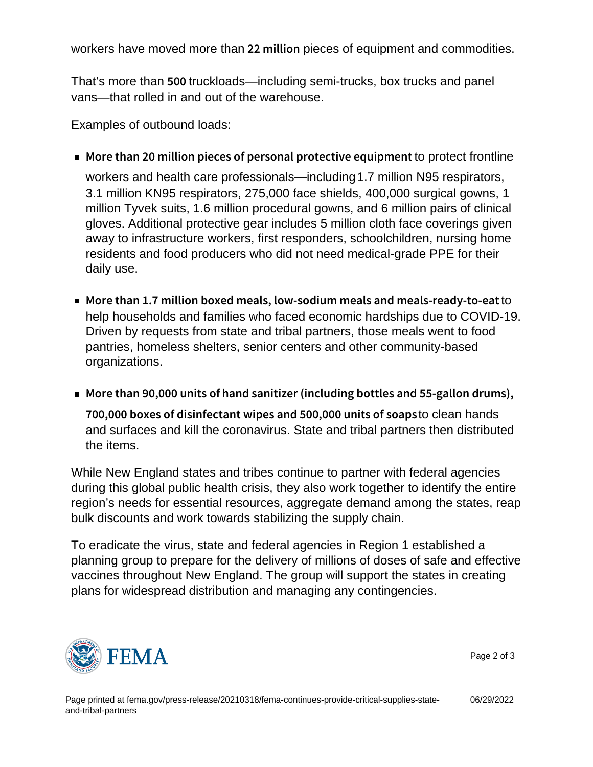workers have moved more than  $22 \text{ m}$  il piextes of equipment and commodities.

That's more than 5 0 to the state —including semi-trucks, box trucks and panel vans—that rolled in and out of the warehouse.

Examples of outbound loads:

More than 20 million pieces of persontcaphropectofitoenthineve equipment of protect in the protect  $\blacksquare$ 

workers and health care professionals—including1.7 million N95 respirators, 3.1 million KN95 respirators, 275,000 face shields, 400,000 surgical gowns, 1 million Tyvek suits, 1.6 million procedural gowns, and 6 million pairs of clinical gloves. Additional protective gear includes 5 million cloth face coverings given away to infrastructure workers, first responders, schoolchildren, nursing home residents and food producers who did not need medical-grade PPE for their daily use.

- More than 1.7 million boxed meals, low-sodiumtomeals and help households and families who faced economic hardships due to COVID-19. Driven by requests from state and tribal partners, those meals went to food pantries, homeless shelters, senior centers and other community-based organizations.
- More than 90,00hQanuonistsanointizer (including bottles and 55-gallon and  $55-$ 700,000 boxes of disinfectant wipes atondeatnChands00 units of and surfaces and kill the coronavirus. State and tribal partners then distributed the items.

While New England states and tribes continue to partner with federal agencies during this global public health crisis, they also work together to identify the entire region's needs for essential resources, aggregate demand among the states, reap bulk discounts and work towards stabilizing the supply chain.

To eradicate the virus, state and federal agencies in Region 1 established a planning group to prepare for the delivery of millions of doses of safe and effective vaccines throughout New England. The group will support the states in creating plans for widespread distribution and managing any contingencies.



Page 2 of 3